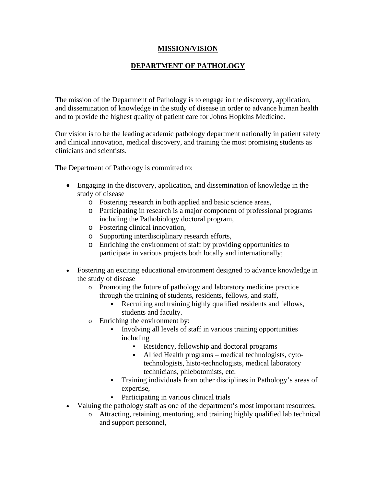## **MISSION/VISION**

## **DEPARTMENT OF PATHOLOGY**

The mission of the Department of Pathology is to engage in the discovery, application, and dissemination of knowledge in the study of disease in order to advance human health and to provide the highest quality of patient care for Johns Hopkins Medicine.

Our vision is to be the leading academic pathology department nationally in patient safety and clinical innovation, medical discovery, and training the most promising students as clinicians and scientists.

The Department of Pathology is committed to:

- Engaging in the discovery, application, and dissemination of knowledge in the study of disease
	- o Fostering research in both applied and basic science areas,
	- o Participating in research is a major component of professional programs including the Pathobiology doctoral program,
	- o Fostering clinical innovation,
	- o Supporting interdisciplinary research efforts,
	- o Enriching the environment of staff by providing opportunities to participate in various projects both locally and internationally;
- Fostering an exciting educational environment designed to advance knowledge in the study of disease
	- o Promoting the future of pathology and laboratory medicine practice through the training of students, residents, fellows, and staff,
		- Recruiting and training highly qualified residents and fellows, students and faculty.
	- o Enriching the environment by:
		- Involving all levels of staff in various training opportunities including
			- Residency, fellowship and doctoral programs
			- Allied Health programs medical technologists, cytotechnologists, histo-technologists, medical laboratory technicians, phlebotomists, etc.
		- Training individuals from other disciplines in Pathology's areas of expertise,
		- Participating in various clinical trials
- Valuing the pathology staff as one of the department's most important resources.
	- o Attracting, retaining, mentoring, and training highly qualified lab technical and support personnel,